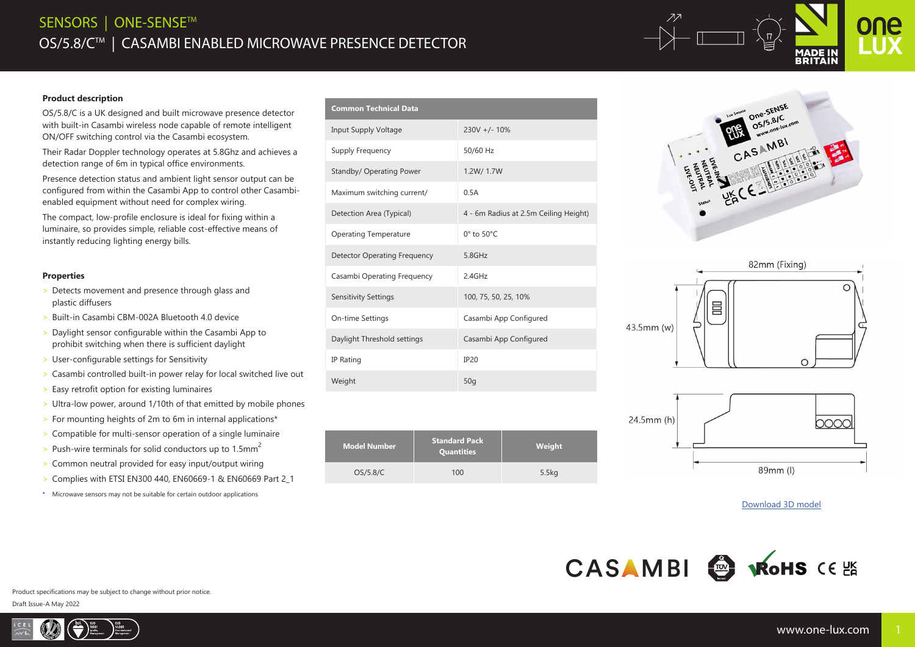# SENSORS | ONE-SENSE™ OS/5.8/C™ | CASAMBI ENABLED MICROWAVE PRESENCE DETECTOR

#### **Product description**

OS/5.8/C is a UK designed and built microwave presence detector with built-in Casambi wireless node capable of remote intelligent ON/OFF switching control via the Casambi ecosystem.

Their Radar Doppler technology operates at 5.8Ghz and achieves a detection range of 6m in typical office environments.

Presence detection status and ambient light sensor output can be configured from within the Casambi App to control other Casambienabled equipment without need for complex wiring.

The compact, low-profile enclosure is ideal for fixing within a luminaire, so provides simple, reliable cost-effective means of instantly reducing lighting energy bills.

#### **Properties**

- > Detects movement and presence through glass and plastic diffusers
- > Built-in Casambi CBM-002A Bluetooth 4.0 device
- > Daylight sensor configurable within the Casambi App to prohibit switching when there is sufficient daylight
- > User-configurable settings for Sensitivity
- > Casambi controlled built-in power relay for local switched live out
- > Easy retrofit option for existing luminaires
- > Ultra-low power, around 1/10th of that emitted by mobile phones
- > For mounting heights of 2m to 6m in internal applications\*
- > Compatible for multi-sensor operation of a single luminaire
- > Push-wire terminals for solid conductors up to  $1.5$ mm<sup>2</sup>
- > Common neutral provided for easy input/output wiring
- > Complies with ETSI EN300 440, EN60669-1 & EN60669 Part 2\_1
- \* Microwave sensors may not be suitable for certain outdoor applications

| Input Supply Voltage         | $230V +/- 10%$                        |
|------------------------------|---------------------------------------|
| Supply Frequency             | 50/60 Hz                              |
| Standby/ Operating Power     | 1.2W/ 1.7W                            |
| Maximum switching current/   | 0.5A                                  |
| Detection Area (Typical)     | 4 - 6m Radius at 2.5m Ceiling Height) |
| <b>Operating Temperature</b> | $0^\circ$ to $50^\circ C$             |
| Detector Operating Frequency | 5.8GHz                                |
| Casambi Operating Frequency  | $2.4$ GHz                             |
| <b>Sensitivity Settings</b>  | 100, 75, 50, 25, 10%                  |
| On-time Settings             | Casambi App Configured                |
| Daylight Threshold settings  | Casambi App Configured                |
| IP Rating                    | IP20                                  |
| Weight                       | 50q                                   |

**Common Technical Data**





**ADE** 





#### Download 3D model

**CASAMBI & WOHS CE** 

Product specifications may be subject to change without prior notice. Draft Issue-A May 2022

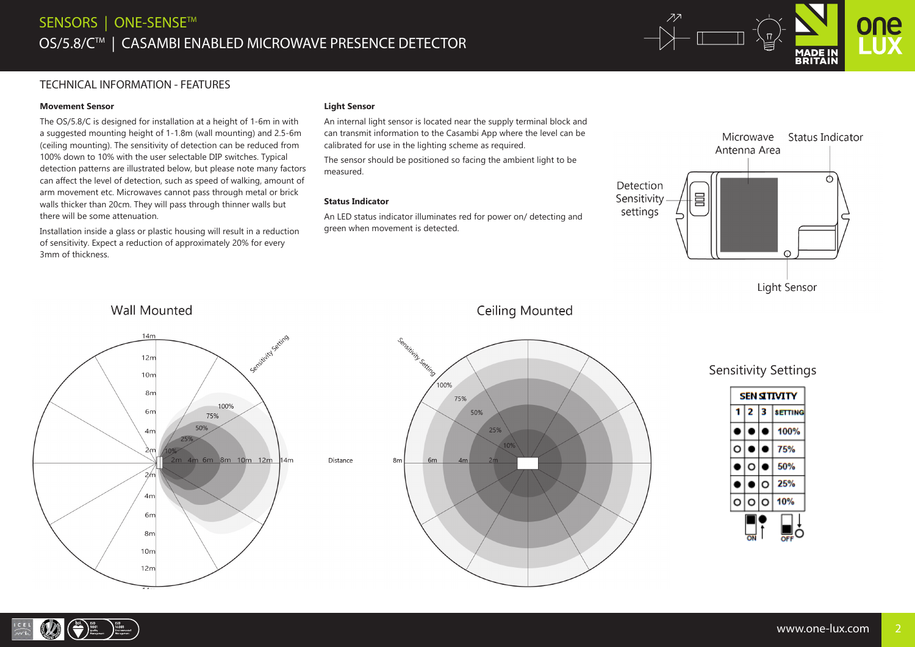

### TECHNICAL INFORMATION - FEATURES

#### **Movement Sensor**

The OS/5.8/C is designed for installation at a height of 1-6m in with a suggested mounting height of 1-1.8m (wall mounting) and 2.5-6m (ceiling mounting). The sensitivity of detection can be reduced from 100% down to 10% with the user selectable DIP switches. Typical detection patterns are illustrated below, but please note many factors can affect the level of detection, such as speed of walking, amount of arm movement etc. Microwaves cannot pass through metal or brick walls thicker than 20cm. They will pass through thinner walls but there will be some attenuation.

Installation inside a glass or plastic housing will result in a reduction of sensitivity. Expect a reduction of approximately 20% for every 3mm of thickness.

#### **Light Sensor**

An internal light sensor is located near the supply terminal block and can transmit information to the Casambi App where the level can be calibrated for use in the lighting scheme as required.

The sensor should be positioned so facing the ambient light to be measured.

#### **Status Indicator**

An LED status indicator illuminates red for power on/ detecting and green when movement is detected.



## Wall Mounted



## **Ceiling Mounted**



## Sensitivity Settings